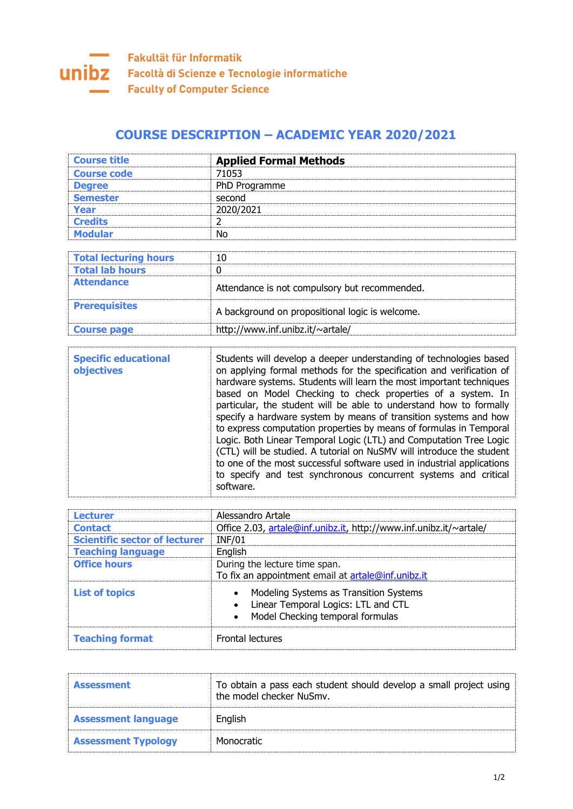

## **COURSE DESCRIPTION – ACADEMIC YEAR 2020/2021**

| <b>Course title</b>          | <b>Applied Formal Methods</b>                   |
|------------------------------|-------------------------------------------------|
| <b>Course code</b>           | 71053                                           |
| <b>Degree</b>                | PhD Programme                                   |
| <b>Semester</b>              | second                                          |
| Year                         | 2020/2021                                       |
| <b>Credits</b>               |                                                 |
| <b>Modular</b>               | No.                                             |
|                              |                                                 |
| <b>Total lecturing hours</b> | 10                                              |
| <b>Total lab hours</b>       | 0                                               |
| <b>Attendance</b>            | Attendance is not compulsory but recommended.   |
| <b>Prerequisites</b>         | A background on propositional logic is welcome. |
| <b>Course page</b>           | http://www.inf.unibz.it/~artale/                |

| <b>Specific educational</b><br><b>objectives</b> | Students will develop a deeper understanding of technologies based<br>on applying formal methods for the specification and verification of<br>hardware systems. Students will learn the most important techniques<br>based on Model Checking to check properties of a system. In<br>particular, the student will be able to understand how to formally<br>specify a hardware system by means of transition systems and how<br>to express computation properties by means of formulas in Temporal<br>Logic. Both Linear Temporal Logic (LTL) and Computation Tree Logic<br>(CTL) will be studied. A tutorial on NuSMV will introduce the student<br>to one of the most successful software used in industrial applications |
|--------------------------------------------------|---------------------------------------------------------------------------------------------------------------------------------------------------------------------------------------------------------------------------------------------------------------------------------------------------------------------------------------------------------------------------------------------------------------------------------------------------------------------------------------------------------------------------------------------------------------------------------------------------------------------------------------------------------------------------------------------------------------------------|
|                                                  | to specify and test synchronous concurrent systems and critical<br>software.                                                                                                                                                                                                                                                                                                                                                                                                                                                                                                                                                                                                                                              |

| <b>Lecturer</b>                      | Alessandro Artale                                                                                                 |
|--------------------------------------|-------------------------------------------------------------------------------------------------------------------|
| <b>Contact</b>                       | Office 2.03, artale@inf.unibz.it, http://www.inf.unibz.it/~artale/                                                |
| <b>Scientific sector of lecturer</b> | <b>INF/01</b>                                                                                                     |
| <b>Teaching language</b>             | English                                                                                                           |
| <b>Office hours</b>                  | During the lecture time span.<br>To fix an appointment email at artale@inf.unibz.it                               |
| <b>List of topics</b>                | Modeling Systems as Transition Systems<br>Linear Temporal Logics: LTL and CTL<br>Model Checking temporal formulas |
| <b>Teaching format</b>               | <b>Frontal lectures</b>                                                                                           |

| <b>Assessment</b>          | To obtain a pass each student should develop a small project using<br>the model checker NuSmy. |
|----------------------------|------------------------------------------------------------------------------------------------|
| <b>Assessment language</b> | English                                                                                        |
| <b>Assessment Typology</b> | Monocratic                                                                                     |